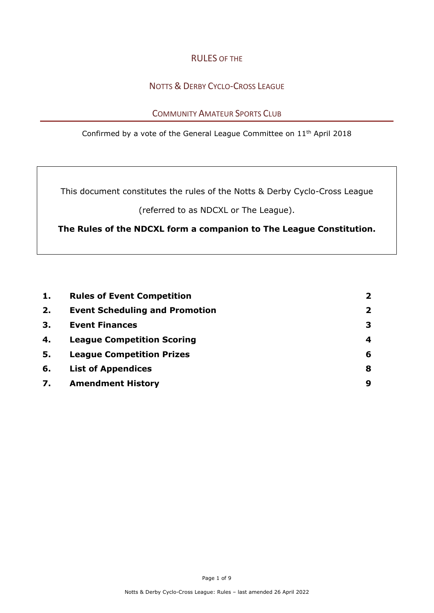## RULES OF THE

# NOTTS & DERBY CYCLO-CROSS LEAGUE

## COMMUNITY AMATEUR SPORTS CLUB

Confirmed by a vote of the General League Committee on 11th April 2018

This document constitutes the rules of the Notts & Derby Cyclo-Cross League

(referred to as NDCXL or The League).

**The Rules of the NDCXL form a companion to The League Constitution.**

| 1. | <b>Rules of Event Competition</b>     | $\overline{\mathbf{2}}$ |
|----|---------------------------------------|-------------------------|
| 2. | <b>Event Scheduling and Promotion</b> | $\mathbf{2}$            |
| 3. | <b>Event Finances</b>                 | 3                       |
| 4. | <b>League Competition Scoring</b>     | 4                       |
| 5. | <b>League Competition Prizes</b>      | 6                       |
| 6. | <b>List of Appendices</b>             | 8                       |
| 7. | <b>Amendment History</b>              | 9                       |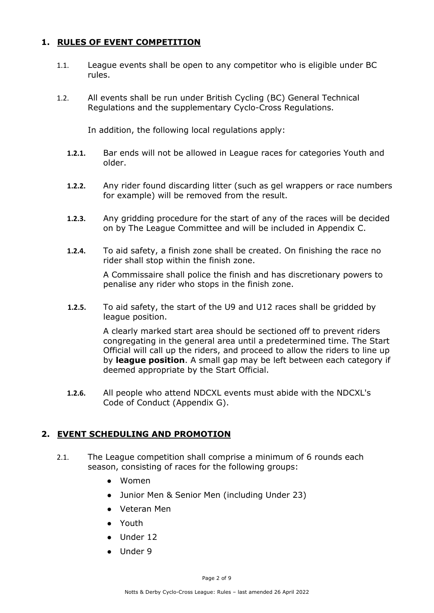## **1. RULES OF EVENT COMPETITION**

- 1.1. League events shall be open to any competitor who is eligible under BC rules.
- 1.2. All events shall be run under British Cycling (BC) General Technical Regulations and the supplementary Cyclo-Cross Regulations.

In addition, the following local regulations apply:

- **1.2.1.** Bar ends will not be allowed in League races for categories Youth and older.
- **1.2.2.** Any rider found discarding litter (such as gel wrappers or race numbers for example) will be removed from the result.
- **1.2.3.** Any gridding procedure for the start of any of the races will be decided on by The League Committee and will be included in Appendix C.
- **1.2.4.** To aid safety, a finish zone shall be created. On finishing the race no rider shall stop within the finish zone.

A Commissaire shall police the finish and has discretionary powers to penalise any rider who stops in the finish zone.

**1.2.5.** To aid safety, the start of the U9 and U12 races shall be gridded by league position.

> A clearly marked start area should be sectioned off to prevent riders congregating in the general area until a predetermined time. The Start Official will call up the riders, and proceed to allow the riders to line up by **league position**. A small gap may be left between each category if deemed appropriate by the Start Official.

**1.2.6.** All people who attend NDCXL events must abide with the NDCXL's Code of Conduct (Appendix G).

### **2. EVENT SCHEDULING AND PROMOTION**

- 2.1. The League competition shall comprise a minimum of 6 rounds each season, consisting of races for the following groups:
	- Women
	- Junior Men & Senior Men (including Under 23)
	- Veteran Men
	- Youth
	- Under 12
	- Under 9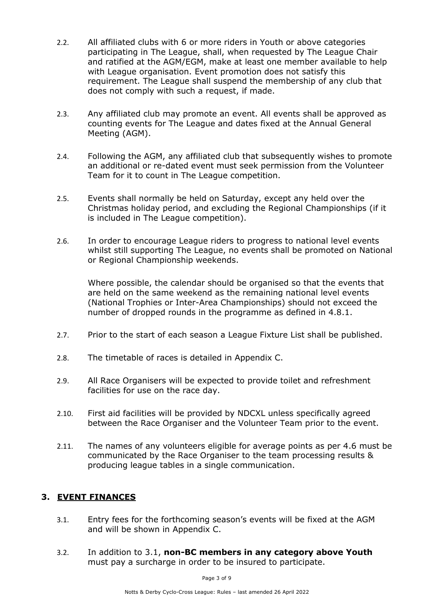- 2.2. All affiliated clubs with 6 or more riders in Youth or above categories participating in The League, shall, when requested by The League Chair and ratified at the AGM/EGM, make at least one member available to help with League organisation. Event promotion does not satisfy this requirement. The League shall suspend the membership of any club that does not comply with such a request, if made.
- 2.3. Any affiliated club may promote an event. All events shall be approved as counting events for The League and dates fixed at the Annual General Meeting (AGM).
- 2.4. Following the AGM, any affiliated club that subsequently wishes to promote an additional or re-dated event must seek permission from the Volunteer Team for it to count in The League competition.
- 2.5. Events shall normally be held on Saturday, except any held over the Christmas holiday period, and excluding the Regional Championships (if it is included in The League competition).
- 2.6. In order to encourage League riders to progress to national level events whilst still supporting The League, no events shall be promoted on National or Regional Championship weekends.

Where possible, the calendar should be organised so that the events that are held on the same weekend as the remaining national level events (National Trophies or Inter-Area Championships) should not exceed the number of dropped rounds in the programme as defined in 4.8.1.

- 2.7. Prior to the start of each season a League Fixture List shall be published.
- 2.8. The timetable of races is detailed in Appendix C.
- 2.9. All Race Organisers will be expected to provide toilet and refreshment facilities for use on the race day.
- 2.10. First aid facilities will be provided by NDCXL unless specifically agreed between the Race Organiser and the Volunteer Team prior to the event.
- 2.11. The names of any volunteers eligible for average points as per 4.6 must be communicated by the Race Organiser to the team processing results & producing league tables in a single communication.

### **3. EVENT FINANCES**

- 3.1. Entry fees for the forthcoming season's events will be fixed at the AGM and will be shown in Appendix C.
- 3.2. In addition to 3.1, **non-BC members in any category above Youth** must pay a surcharge in order to be insured to participate.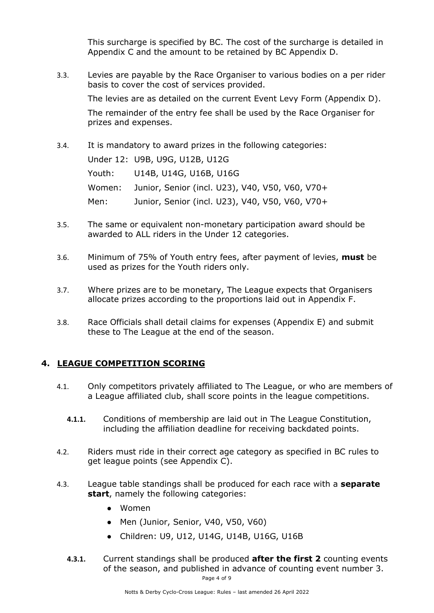This surcharge is specified by BC. The cost of the surcharge is detailed in Appendix C and the amount to be retained by BC Appendix D.

3.3. Levies are payable by the Race Organiser to various bodies on a per rider basis to cover the cost of services provided.

The levies are as detailed on the current Event Levy Form (Appendix D).

The remainder of the entry fee shall be used by the Race Organiser for prizes and expenses.

3.4. It is mandatory to award prizes in the following categories:

Under 12: U9B, U9G, U12B, U12G

Youth: U14B, U14G, U16B, U16G Women: Junior, Senior (incl. U23), V40, V50, V60, V70+ Men: Junior, Senior (incl. U23), V40, V50, V60, V70+

- 3.5. The same or equivalent non-monetary participation award should be awarded to ALL riders in the Under 12 categories.
- 3.6. Minimum of 75% of Youth entry fees, after payment of levies, **must** be used as prizes for the Youth riders only.
- 3.7. Where prizes are to be monetary, The League expects that Organisers allocate prizes according to the proportions laid out in Appendix F.
- 3.8. Race Officials shall detail claims for expenses (Appendix E) and submit these to The League at the end of the season.

## **4. LEAGUE COMPETITION SCORING**

- 4.1. Only competitors privately affiliated to The League, or who are members of a League affiliated club, shall score points in the league competitions.
	- **4.1.1.** Conditions of membership are laid out in The League Constitution, including the affiliation deadline for receiving backdated points.
- 4.2. Riders must ride in their correct age category as specified in BC rules to get league points (see Appendix C).
- 4.3. League table standings shall be produced for each race with a **separate start**, namely the following categories:
	- Women
	- Men (Junior, Senior, V40, V50, V60)
	- Children: U9, U12, U14G, U14B, U16G, U16B
	- **4.3.1.** Current standings shall be produced **after the first 2** counting events of the season, and published in advance of counting event number 3.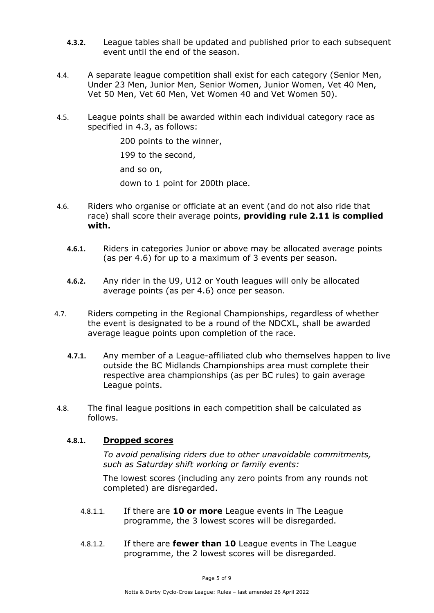- **4.3.2.** League tables shall be updated and published prior to each subsequent event until the end of the season.
- 4.4. A separate league competition shall exist for each category (Senior Men, Under 23 Men, Junior Men, Senior Women, Junior Women, Vet 40 Men, Vet 50 Men, Vet 60 Men, Vet Women 40 and Vet Women 50).
- 4.5. League points shall be awarded within each individual category race as specified in 4.3, as follows:

200 points to the winner, 199 to the second, and so on, down to 1 point for 200th place.

- 4.6. Riders who organise or officiate at an event (and do not also ride that race) shall score their average points, **providing rule 2.11 is complied with.**
	- **4.6.1.** Riders in categories Junior or above may be allocated average points (as per 4.6) for up to a maximum of 3 events per season.
	- **4.6.2.** Any rider in the U9, U12 or Youth leagues will only be allocated average points (as per 4.6) once per season.
- 4.7. Riders competing in the Regional Championships, regardless of whether the event is designated to be a round of the NDCXL, shall be awarded average league points upon completion of the race.
	- **4.7.1.** Any member of a League-affiliated club who themselves happen to live outside the BC Midlands Championships area must complete their respective area championships (as per BC rules) to gain average League points.
- 4.8. The final league positions in each competition shall be calculated as follows.

### **4.8.1. Dropped scores**

*To avoid penalising riders due to other unavoidable commitments, such as Saturday shift working or family events:*

The lowest scores (including any zero points from any rounds not completed) are disregarded.

- 4.8.1.1. If there are **10 or more** League events in The League programme, the 3 lowest scores will be disregarded.
- 4.8.1.2. If there are **fewer than 10** League events in The League programme, the 2 lowest scores will be disregarded.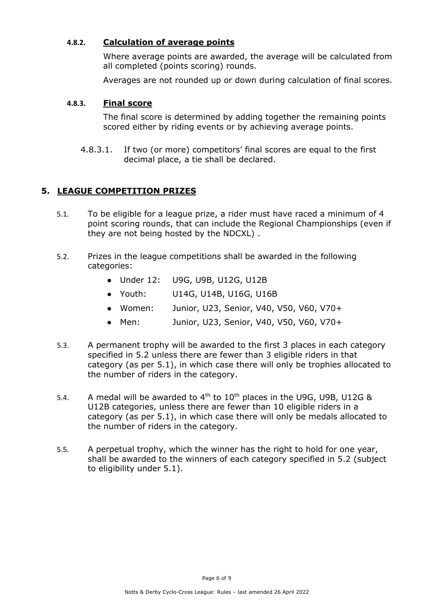### **4.8.2. Calculation of average points**

Where average points are awarded, the average will be calculated from all completed (points scoring) rounds.

Averages are not rounded up or down during calculation of final scores.

#### **4.8.3. Final score**

The final score is determined by adding together the remaining points scored either by riding events or by achieving average points.

4.8.3.1. If two (or more) competitors' final scores are equal to the first decimal place, a tie shall be declared.

## **5. LEAGUE COMPETITION PRIZES**

- 5.1. To be eligible for a league prize, a rider must have raced a minimum of 4 point scoring rounds, that can include the Regional Championships (even if they are not being hosted by the NDCXL) .
- 5.2. Prizes in the league competitions shall be awarded in the following categories:
	- Under 12: U9G, U9B, U12G, U12B
	- Youth: U14G, U14B, U16G, U16B
	- Women: Junior, U23, Senior, V40, V50, V60, V70+
	- Men: Junior, U23, Senior, V40, V50, V60, V70+
- 5.3. A permanent trophy will be awarded to the first 3 places in each category specified in 5.2 unless there are fewer than 3 eligible riders in that category (as per 5.1), in which case there will only be trophies allocated to the number of riders in the category.
- 5.4. A medal will be awarded to  $4<sup>th</sup>$  to  $10<sup>th</sup>$  places in the U9G, U9B, U12G & U12B categories, unless there are fewer than 10 eligible riders in a category (as per 5.1), in which case there will only be medals allocated to the number of riders in the category.
- 5.5. A perpetual trophy, which the winner has the right to hold for one year, shall be awarded to the winners of each category specified in 5.2 (subject to eligibility under 5.1).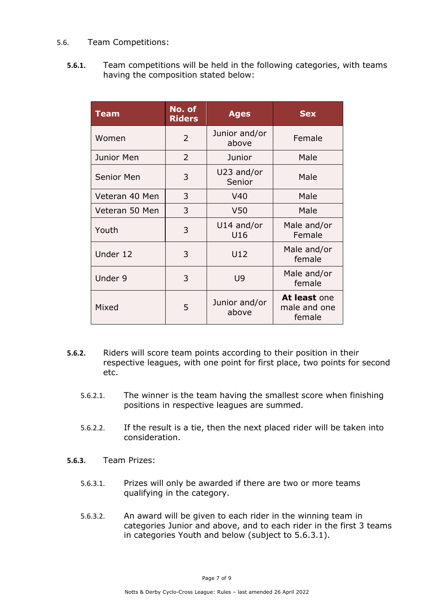#### 5.6. Team Competitions:

**5.6.1.** Team competitions will be held in the following categories, with teams having the composition stated below:

| <b>Team</b>       | No. of<br><b>Riders</b> | <b>Ages</b>            | <b>Sex</b>                             |
|-------------------|-------------------------|------------------------|----------------------------------------|
| Women             | $\overline{2}$          | Junior and/or<br>above | Female                                 |
| Junior Men        | $\overline{2}$          | Junior                 | Male                                   |
| <b>Senior Men</b> | 3                       | U23 and/or<br>Senior   | Male                                   |
| Veteran 40 Men    | 3                       | V40                    | Male                                   |
| Veteran 50 Men    | 3                       | V <sub>50</sub>        | Male                                   |
| Youth             | 3                       | U14 and/or<br>U16      | Male and/or<br>Female                  |
| Under 12          | 3                       | U12                    | Male and/or<br>female                  |
| Under 9           | 3                       | U9                     | Male and/or<br>female                  |
| Mixed             | 5                       | Junior and/or<br>above | At least one<br>male and one<br>female |

- **5.6.2.** Riders will score team points according to their position in their respective leagues, with one point for first place, two points for second etc.
	- 5.6.2.1. The winner is the team having the smallest score when finishing positions in respective leagues are summed.
	- 5.6.2.2. If the result is a tie, then the next placed rider will be taken into consideration.
- **5.6.3.** Team Prizes:
	- 5.6.3.1. Prizes will only be awarded if there are two or more teams qualifying in the category.
	- 5.6.3.2. An award will be given to each rider in the winning team in categories Junior and above, and to each rider in the first 3 teams in categories Youth and below (subject to 5.6.3.1).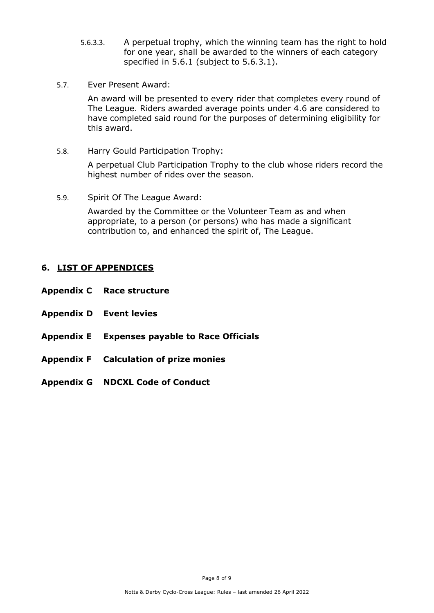- 5.6.3.3. A perpetual trophy, which the winning team has the right to hold for one year, shall be awarded to the winners of each category specified in 5.6.1 (subject to 5.6.3.1).
- 5.7. Ever Present Award:

An award will be presented to every rider that completes every round of The League. Riders awarded average points under 4.6 are considered to have completed said round for the purposes of determining eligibility for this award.

5.8. Harry Gould Participation Trophy:

A perpetual Club Participation Trophy to the club whose riders record the highest number of rides over the season.

5.9. Spirit Of The League Award:

Awarded by the Committee or the Volunteer Team as and when appropriate, to a person (or persons) who has made a significant contribution to, and enhanced the spirit of, The League.

### **6. LIST OF APPENDICES**

- **Appendix C Race structure**
- **Appendix D Event levies**
- **Appendix E Expenses payable to Race Officials**
- **Appendix F Calculation of prize monies**
- **Appendix G NDCXL Code of Conduct**